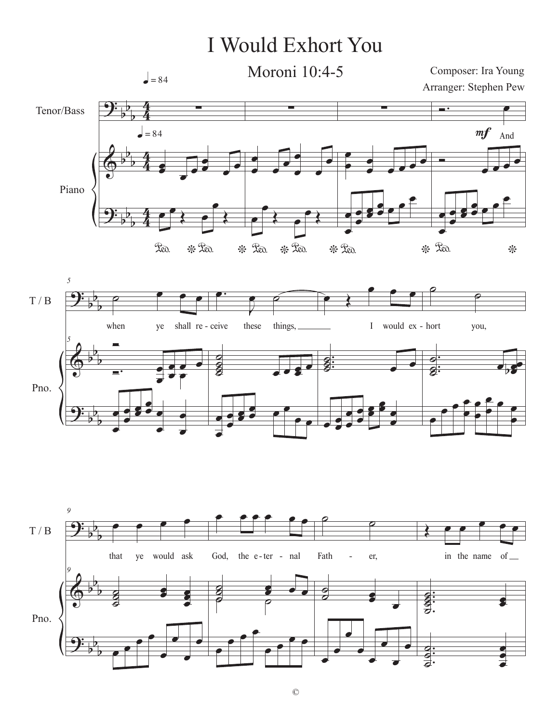## I Would Exhort You

 $\Theta$ :  $\bm{\phi}$  $\Theta$ : b b b b b b b b b 4 4 4 4 4 4 Tenor/Bass Piano ∑ œ œ œ œ \* ° œ  $\frac{1}{\epsilon}$ œ \* ° œ Red.  $\rightarrow$ œ Œ  $= 84$  $= 84$ ∑ œ œ œ œ \* 200. œ œ œ œ \* Lev. œ  $\overrightarrow{a}$  $\overline{\mathbf{e}}$ ∑ œ  $\frac{\bullet}{\bullet}$ 。<br>。。。。 \* <sup>Leo.</sup> œ œ œ œ œ œ œ  $\frac{e}{e}$ œ  $\overline{\phantom{a}}$ And  $\overline{\phantom{a}}$ \* œ œ œ œ œ œ œ  $\frac{e}{e}$ œ  $m f$ *5* Composer: Ira Young Arranger: Stephen Pew Moroni 10:4-5



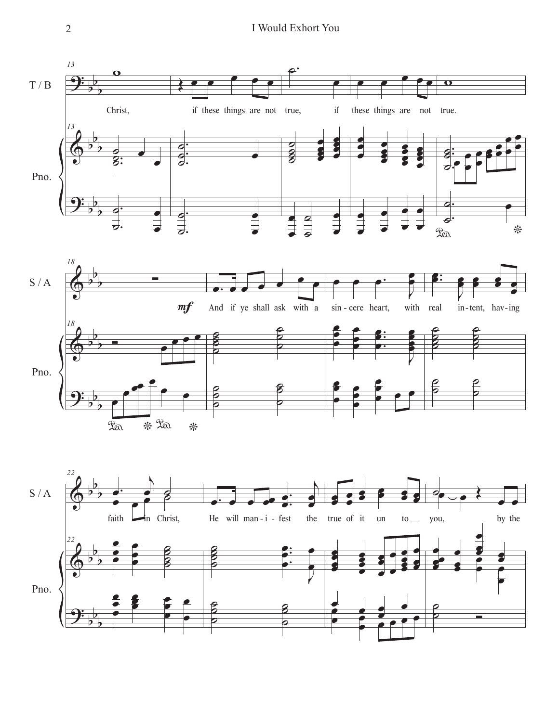



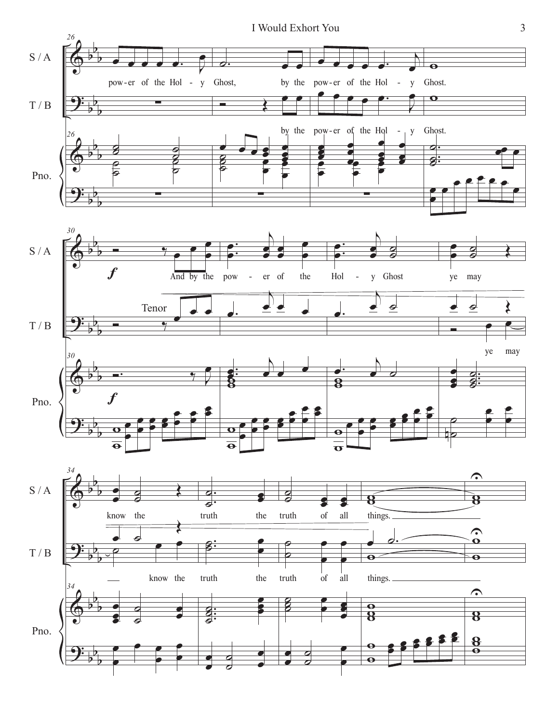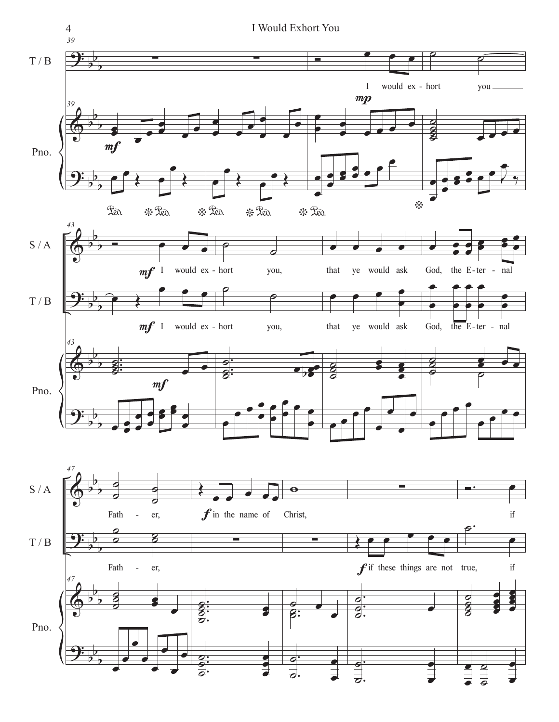